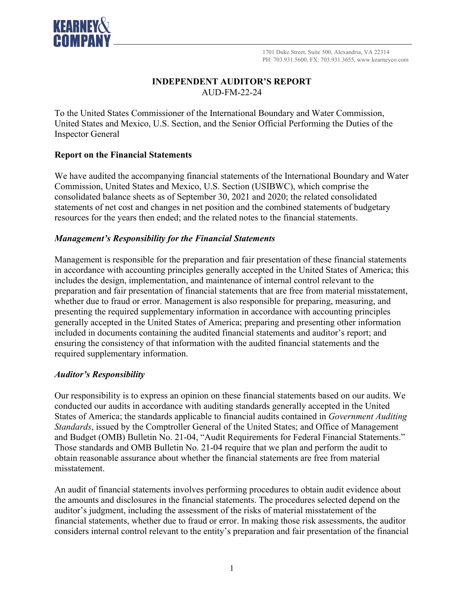

# **INDEPENDENT AUDITOR'S REPORT** AUD-FM-22-24

To the United States Commissioner of the International Boundary and Water Commission, United States and Mexico, U.S. Section, and the Senior Official Performing the Duties of the Inspector General

## **Report on the Financial Statements**

We have audited the accompanying financial statements of the International Boundary and Water Commission, United States and Mexico, U.S. Section (USIBWC), which comprise the consolidated balance sheets as of September 30, 2021 and 2020; the related consolidated statements of net cost and changes in net position and the combined statements of budgetary resources for the years then ended; and the related notes to the financial statements.

## *Management's Responsibility for the Financial Statements*

Management is responsible for the preparation and fair presentation of these financial statements in accordance with accounting principles generally accepted in the United States of America; this includes the design, implementation, and maintenance of internal control relevant to the preparation and fair presentation of financial statements that are free from material misstatement, whether due to fraud or error. Management is also responsible for preparing, measuring, and presenting the required supplementary information in accordance with accounting principles generally accepted in the United States of America; preparing and presenting other information included in documents containing the audited financial statements and auditor's report; and ensuring the consistency of that information with the audited financial statements and the required supplementary information.

## *Auditor's Responsibility*

Our responsibility is to express an opinion on these financial statements based on our audits. We conducted our audits in accordance with auditing standards generally accepted in the United States of America; the standards applicable to financial audits contained in *Government Auditing Standards*, issued by the Comptroller General of the United States; and Office of Management and Budget (OMB) Bulletin No. 21-04, "Audit Requirements for Federal Financial Statements." Those standards and OMB Bulletin No. 21-04 require that we plan and perform the audit to obtain reasonable assurance about whether the financial statements are free from material misstatement.

An audit of financial statements involves performing procedures to obtain audit evidence about the amounts and disclosures in the financial statements. The procedures selected depend on the auditor's judgment, including the assessment of the risks of material misstatement of the financial statements, whether due to fraud or error. In making those risk assessments, the auditor considers internal control relevant to the entity's preparation and fair presentation of the financial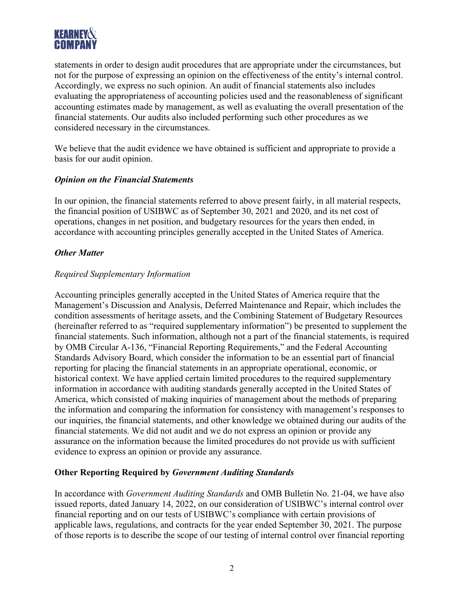

statements in order to design audit procedures that are appropriate under the circumstances, but not for the purpose of expressing an opinion on the effectiveness of the entity's internal control. Accordingly, we express no such opinion. An audit of financial statements also includes evaluating the appropriateness of accounting policies used and the reasonableness of significant accounting estimates made by management, as well as evaluating the overall presentation of the financial statements. Our audits also included performing such other procedures as we considered necessary in the circumstances.

We believe that the audit evidence we have obtained is sufficient and appropriate to provide a basis for our audit opinion.

#### *Opinion on the Financial Statements*

In our opinion, the financial statements referred to above present fairly, in all material respects, the financial position of USIBWC as of September 30, 2021 and 2020, and its net cost of operations, changes in net position, and budgetary resources for the years then ended, in accordance with accounting principles generally accepted in the United States of America.

#### *Other Matter*

#### *Required Supplementary Information*

Accounting principles generally accepted in the United States of America require that the Management's Discussion and Analysis, Deferred Maintenance and Repair, which includes the condition assessments of heritage assets, and the Combining Statement of Budgetary Resources (hereinafter referred to as "required supplementary information") be presented to supplement the financial statements. Such information, although not a part of the financial statements, is required by OMB Circular A-136, "Financial Reporting Requirements," and the Federal Accounting Standards Advisory Board, which consider the information to be an essential part of financial reporting for placing the financial statements in an appropriate operational, economic, or historical context. We have applied certain limited procedures to the required supplementary information in accordance with auditing standards generally accepted in the United States of America, which consisted of making inquiries of management about the methods of preparing the information and comparing the information for consistency with management's responses to our inquiries, the financial statements, and other knowledge we obtained during our audits of the financial statements. We did not audit and we do not express an opinion or provide any assurance on the information because the limited procedures do not provide us with sufficient evidence to express an opinion or provide any assurance.

## **Other Reporting Required by** *Government Auditing Standards*

In accordance with *Government Auditing Standards* and OMB Bulletin No. 21-04, we have also issued reports, dated January 14, 2022, on our consideration of USIBWC's internal control over financial reporting and on our tests of USIBWC's compliance with certain provisions of applicable laws, regulations, and contracts for the year ended September 30, 2021. The purpose of those reports is to describe the scope of our testing of internal control over financial reporting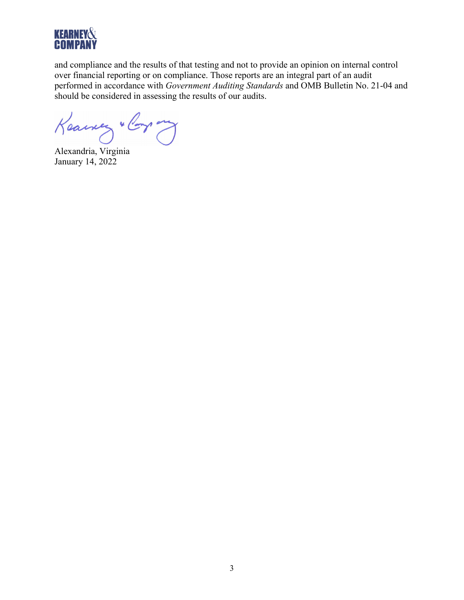

and compliance and the results of that testing and not to provide an opinion on internal control over financial reporting or on compliance. Those reports are an integral part of an audit performed in accordance with *Government Auditing Standards* and OMB Bulletin No. 21-04 and should be considered in assessing the results of our audits.

Keawery " Corp ony

Alexandria, Virginia January 14, 2022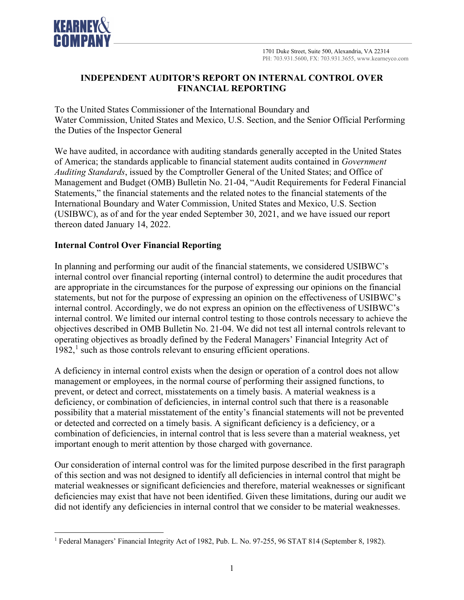

## **INDEPENDENT AUDITOR'S REPORT ON INTERNAL CONTROL OVER FINANCIAL REPORTING**

To the United States Commissioner of the International Boundary and Water Commission, United States and Mexico, U.S. Section, and the Senior Official Performing the Duties of the Inspector General

We have audited, in accordance with auditing standards generally accepted in the United States of America; the standards applicable to financial statement audits contained in *Government Auditing Standards*, issued by the Comptroller General of the United States; and Office of Management and Budget (OMB) Bulletin No. 21-04, "Audit Requirements for Federal Financial Statements," the financial statements and the related notes to the financial statements of the International Boundary and Water Commission, United States and Mexico, U.S. Section (USIBWC), as of and for the year ended September 30, 2021, and we have issued our report thereon dated January 14, 2022.

# **Internal Control Over Financial Reporting**

In planning and performing our audit of the financial statements, we considered USIBWC's internal control over financial reporting (internal control) to determine the audit procedures that are appropriate in the circumstances for the purpose of expressing our opinions on the financial statements, but not for the purpose of expressing an opinion on the effectiveness of USIBWC's internal control. Accordingly, we do not express an opinion on the effectiveness of USIBWC's internal control. We limited our internal control testing to those controls necessary to achieve the objectives described in OMB Bulletin No. 21-04. We did not test all internal controls relevant to operating objectives as broadly defined by the Federal Managers' Financial Integrity Act of 1982, [1](#page-3-0) such as those controls relevant to ensuring efficient operations.

A deficiency in internal control exists when the design or operation of a control does not allow management or employees, in the normal course of performing their assigned functions, to prevent, or detect and correct, misstatements on a timely basis. A material weakness is a deficiency, or combination of deficiencies, in internal control such that there is a reasonable possibility that a material misstatement of the entity's financial statements will not be prevented or detected and corrected on a timely basis. A significant deficiency is a deficiency, or a combination of deficiencies, in internal control that is less severe than a material weakness, yet important enough to merit attention by those charged with governance.

Our consideration of internal control was for the limited purpose described in the first paragraph of this section and was not designed to identify all deficiencies in internal control that might be material weaknesses or significant deficiencies and therefore, material weaknesses or significant deficiencies may exist that have not been identified. Given these limitations, during our audit we did not identify any deficiencies in internal control that we consider to be material weaknesses.

<span id="page-3-0"></span><sup>1</sup> Federal Managers' Financial Integrity Act of 1982, Pub. L. No. 97-255, 96 STAT 814 (September 8, 1982).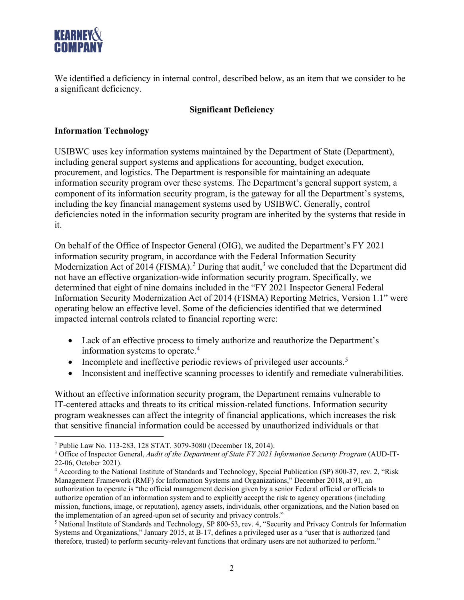

We identified a deficiency in internal control, described below, as an item that we consider to be a significant deficiency.

## **Significant Deficiency**

### **Information Technology**

USIBWC uses key information systems maintained by the Department of State (Department), including general support systems and applications for accounting, budget execution, procurement, and logistics. The Department is responsible for maintaining an adequate information security program over these systems. The Department's general support system, a component of its information security program, is the gateway for all the Department's systems, including the key financial management systems used by USIBWC. Generally, control deficiencies noted in the information security program are inherited by the systems that reside in it.

On behalf of the Office of Inspector General (OIG), we audited the Department's FY 2021 information security program, in accordance with the Federal Information Security Modernization Act of [2](#page-4-0)014 (FISMA).<sup>2</sup> During that audit,<sup>[3](#page-4-1)</sup> we concluded that the Department did not have an effective organization-wide information security program. Specifically, we determined that eight of nine domains included in the "FY 2021 Inspector General Federal Information Security Modernization Act of 2014 (FISMA) Reporting Metrics, Version 1.1" were operating below an effective level. Some of the deficiencies identified that we determined impacted internal controls related to financial reporting were:

- Lack of an effective process to timely authorize and reauthorize the Department's information systems to operate.[4](#page-4-2)
- Incomplete and ineffective periodic reviews of privileged user accounts.<sup>[5](#page-4-3)</sup>
- Inconsistent and ineffective scanning processes to identify and remediate vulnerabilities.

Without an effective information security program, the Department remains vulnerable to IT-centered attacks and threats to its critical mission-related functions. Information security program weaknesses can affect the integrity of financial applications, which increases the risk that sensitive financial information could be accessed by unauthorized individuals or that

<span id="page-4-0"></span><sup>2</sup> Public Law No. 113-283, 128 STAT. 3079-3080 (December 18, 2014).

<span id="page-4-1"></span><sup>3</sup> Office of Inspector General, *Audit of the Department of State FY 2021 Information Security Program* (AUD-IT-22-06, October 2021).

<span id="page-4-2"></span><sup>&</sup>lt;sup>4</sup> According to the National Institute of Standards and Technology, Special Publication (SP) 800-37, rev. 2, "Risk Management Framework (RMF) for Information Systems and Organizations," December 2018, at 91, an authorization to operate is "the official management decision given by a senior Federal official or officials to authorize operation of an information system and to explicitly accept the risk to agency operations (including mission, functions, image, or reputation), agency assets, individuals, other organizations, and the Nation based on the implementation of an agreed-upon set of security and privacy controls."<br><sup>5</sup> National Institute of Standards and Technology, SP 800-53, rev. 4, "Security and Privacy Controls for Information

<span id="page-4-3"></span>Systems and Organizations," January 2015, at B-17, defines a privileged user as a "user that is authorized (and therefore, trusted) to perform security-relevant functions that ordinary users are not authorized to perform."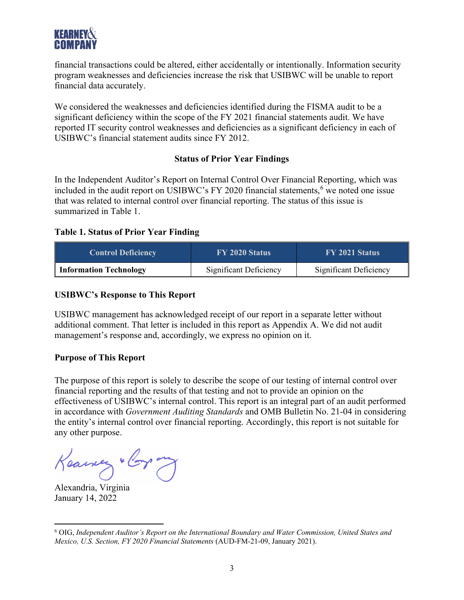

financial transactions could be altered, either accidentally or intentionally. Information security program weaknesses and deficiencies increase the risk that USIBWC will be unable to report financial data accurately.

We considered the weaknesses and deficiencies identified during the FISMA audit to be a significant deficiency within the scope of the FY 2021 financial statements audit. We have reported IT security control weaknesses and deficiencies as a significant deficiency in each of USIBWC's financial statement audits since FY 2012.

#### **Status of Prior Year Findings**

In the Independent Auditor's Report on Internal Control Over Financial Reporting, which was included in the audit report on USIBWC's FY 2020 financial statements, $6$  we noted one issue that was related to internal control over financial reporting. The status of this issue is summarized in Table 1.

#### **Table 1. Status of Prior Year Finding**

| <b>Control Deficiency</b>     | <b>FY 2020 Status</b>  | FY 2021 Status         |
|-------------------------------|------------------------|------------------------|
| <b>Information Technology</b> | Significant Deficiency | Significant Deficiency |

#### **USIBWC's Response to This Report**

USIBWC management has acknowledged receipt of our report in a separate letter without additional comment. That letter is included in this report as Appendix A. We did not audit management's response and, accordingly, we express no opinion on it.

#### **Purpose of This Report**

The purpose of this report is solely to describe the scope of our testing of internal control over financial reporting and the results of that testing and not to provide an opinion on the effectiveness of USIBWC's internal control. This report is an integral part of an audit performed in accordance with *Government Auditing Standards* and OMB Bulletin No. 21-04 in considering the entity's internal control over financial reporting. Accordingly, this report is not suitable for any other purpose.

Keawer " Corp ony

Alexandria, Virginia January 14, 2022

<span id="page-5-0"></span><sup>6</sup> OIG, *Independent Auditor's Report on the International Boundary and Water Commission, United States and Mexico, U.S. Section, FY 2020 Financial Statements* (AUD-FM-21-09, January 2021).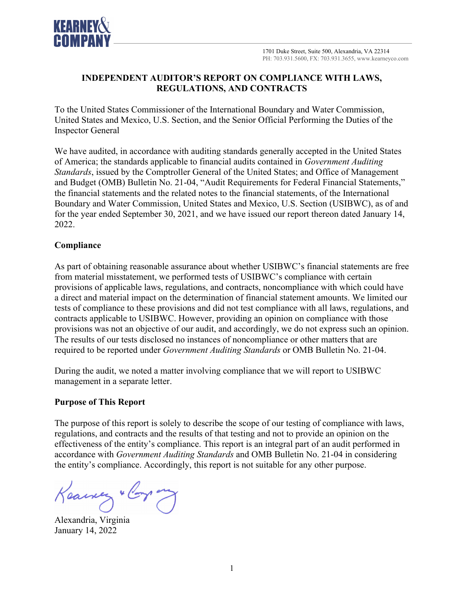

## **INDEPENDENT AUDITOR'S REPORT ON COMPLIANCE WITH LAWS, REGULATIONS, AND CONTRACTS**

To the United States Commissioner of the International Boundary and Water Commission, United States and Mexico, U.S. Section, and the Senior Official Performing the Duties of the Inspector General

We have audited, in accordance with auditing standards generally accepted in the United States of America; the standards applicable to financial audits contained in *Government Auditing Standards*, issued by the Comptroller General of the United States; and Office of Management and Budget (OMB) Bulletin No. 21-04, "Audit Requirements for Federal Financial Statements," the financial statements and the related notes to the financial statements, of the International Boundary and Water Commission, United States and Mexico, U.S. Section (USIBWC), as of and for the year ended September 30, 2021, and we have issued our report thereon dated January 14, 2022.

## **Compliance**

As part of obtaining reasonable assurance about whether USIBWC's financial statements are free from material misstatement, we performed tests of USIBWC's compliance with certain provisions of applicable laws, regulations, and contracts, noncompliance with which could have a direct and material impact on the determination of financial statement amounts. We limited our tests of compliance to these provisions and did not test compliance with all laws, regulations, and contracts applicable to USIBWC. However, providing an opinion on compliance with those provisions was not an objective of our audit, and accordingly, we do not express such an opinion. The results of our tests disclosed no instances of noncompliance or other matters that are required to be reported under *Government Auditing Standards* or OMB Bulletin No. 21-04.

During the audit, we noted a matter involving compliance that we will report to USIBWC management in a separate letter.

#### **Purpose of This Report**

The purpose of this report is solely to describe the scope of our testing of compliance with laws, regulations, and contracts and the results of that testing and not to provide an opinion on the effectiveness of the entity's compliance. This report is an integral part of an audit performed in accordance with *Government Auditing Standards* and OMB Bulletin No. 21-04 in considering the entity's compliance. Accordingly, this report is not suitable for any other purpose.

Keawery " Corp any

Alexandria, Virginia January 14, 2022